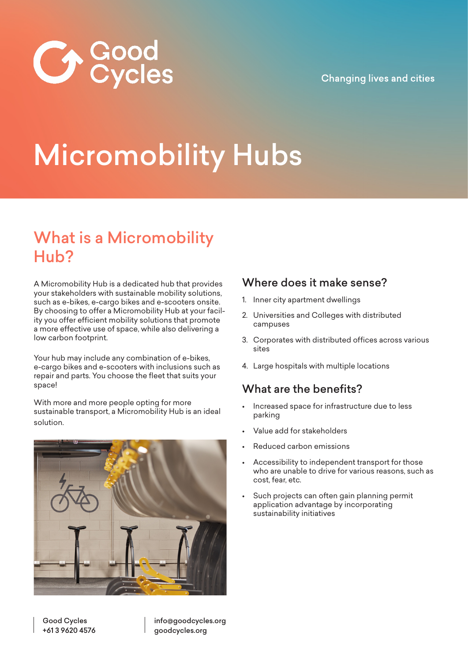

### **Changing lives and cities**

# Micromobility Hubs

# What is a Micromobility Hub?

A Micromobility Hub is a dedicated hub that provides your stakeholders with sustainable mobility solutions, such as e-bikes, e-cargo bikes and e-scooters onsite. By choosing to offer a Micromobility Hub at your facility you offer efficient mobility solutions that promote a more effective use of space, while also delivering a low carbon footprint.

Your hub may include any combination of e-bikes, e-cargo bikes and e-scooters with inclusions such as repair and parts. You choose the fleet that suits your space!

With more and more people opting for more sustainable transport, a Micromobility Hub is an ideal solution.



### Where does it make sense?

- 1. Inner city apartment dwellings
- 2. Universities and Colleges with distributed campuses
- 3. Corporates with distributed offices across various sites
- 4. Large hospitals with multiple locations

### What are the benefits?

- Increased space for infrastructure due to less parking
- Value add for stakeholders
- Reduced carbon emissions
- Accessibility to independent transport for those who are unable to drive for various reasons, such as cost, fear, etc.
- Such projects can often gain planning permit application advantage by incorporating sustainability initiatives

info@goodcycles.org goodcycles.org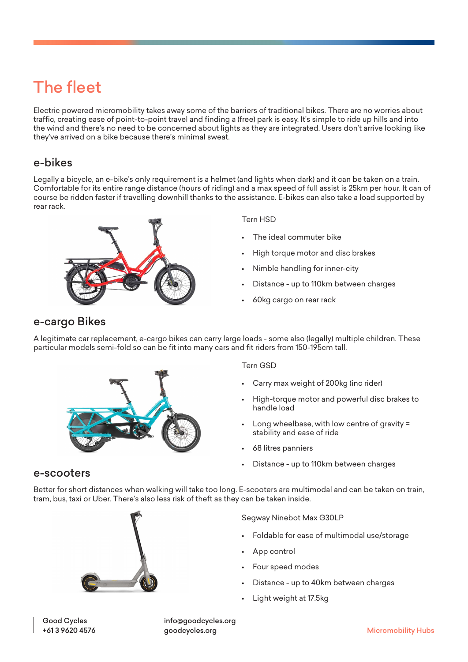# The fleet

Electric powered micromobility takes away some of the barriers of traditional bikes. There are no worries about traffic, creating ease of point-to-point travel and finding a (free) park is easy. It's simple to ride up hills and into the wind and there's no need to be concerned about lights as they are integrated. Users don't arrive looking like they've arrived on a bike because there's minimal sweat.

### e-bikes

Legally a bicycle, an e-bike's only requirement is a helmet (and lights when dark) and it can be taken on a train. Comfortable for its entire range distance (hours of riding) and a max speed of full assist is 25km per hour. It can of course be ridden faster if travelling downhill thanks to the assistance. E-bikes can also take a load supported by rear rack.



#### Tern HSD

- The ideal commuter bike
- High torque motor and disc brakes
- Nimble handling for inner-city
- Distance up to 110km between charges
- 60kg cargo on rear rack

### e-cargo Bikes

A legitimate car replacement, e-cargo bikes can carry large loads - some also (legally) multiple children. These particular models semi-fold so can be fit into many cars and fit riders from 150-195cm tall.



#### Tern GSD

- Carry max weight of 200kg (inc rider)
- High-torque motor and powerful disc brakes to handle load
- Long wheelbase, with low centre of gravity = stability and ease of ride
- 68 litres panniers
- Distance up to 110km between charges

#### e-scooters

Better for short distances when walking will take too long. E-scooters are multimodal and can be taken on train, tram, bus, taxi or Uber. There's also less risk of theft as they can be taken inside.



Segway Ninebot Max G30LP

- Foldable for ease of multimodal use/storage
- App control
- Four speed modes
- Distance up to 40km between charges
- Light weight at 17.5kg

info@goodcycles.org goodcycles.org